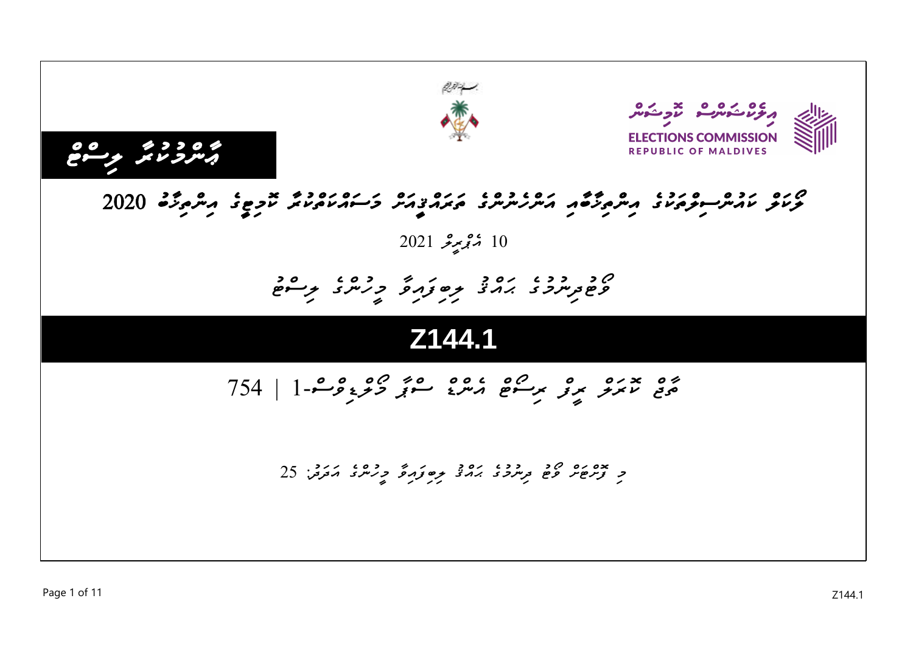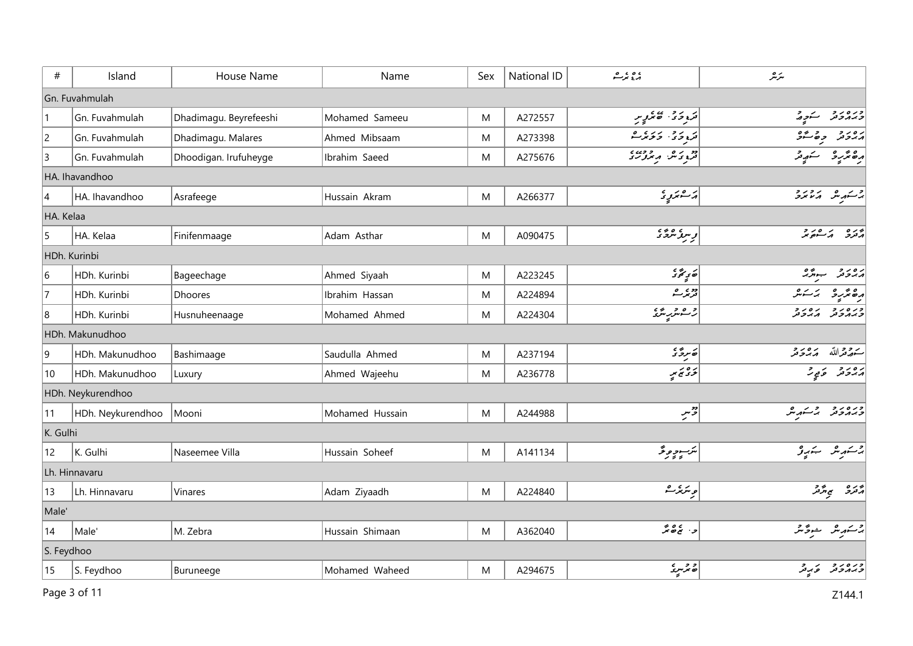| #              | Island            | House Name             | Name            | Sex       | National ID | ، ه ، مرگ                            | ىئرىتر                                                                                                                                                                                                                          |
|----------------|-------------------|------------------------|-----------------|-----------|-------------|--------------------------------------|---------------------------------------------------------------------------------------------------------------------------------------------------------------------------------------------------------------------------------|
|                | Gn. Fuvahmulah    |                        |                 |           |             |                                      |                                                                                                                                                                                                                                 |
|                | Gn. Fuvahmulah    | Dhadimagu. Beyrefeeshi | Mohamed Sameeu  | M         | A272557     | تېرو د عواصر پېړو سر                 | ورەرو سەچە                                                                                                                                                                                                                      |
| $ 2\rangle$    | Gn. Fuvahmulah    | Dhadimagu. Malares     | Ahmed Mibsaam   | M         | A273398     | ار دو.<br>درود کانگریز               |                                                                                                                                                                                                                                 |
| 3              | Gn. Fuvahmulah    | Dhoodigan. Irufuheyge  | Ibrahim Saeed   | M         | A275676     | قروئە ئەر ئەرەپە                     | رەنزرو سىرىتر                                                                                                                                                                                                                   |
|                | HA. Ihavandhoo    |                        |                 |           |             |                                      |                                                                                                                                                                                                                                 |
| $\overline{4}$ | HA. Ihavandhoo    | Asrafeege              | Hussain Akram   | ${\sf M}$ | A266377     | ىر شەنىزى <sub>رى</sub> ئ            | ב הוניים ובעיות                                                                                                                                                                                                                 |
| HA. Kelaa      |                   |                        |                 |           |             |                                      |                                                                                                                                                                                                                                 |
| 5              | HA. Kelaa         | Finifenmaage           | Adam Asthar     | ${\sf M}$ | A090475     | ار سو ه د د ،                        | پره ره ده.<br>مرکزی مرگ                                                                                                                                                                                                         |
|                | HDh. Kurinbi      |                        |                 |           |             |                                      |                                                                                                                                                                                                                                 |
| 6              | HDh. Kurinbi      | Bageechage             | Ahmed Siyaah    | M         | A223245     | ے پر پڑی<br> ص پ <sub>ر</sub> پڑی    | رەرو جەدر<br>مەدىر جەدر                                                                                                                                                                                                         |
| $\overline{7}$ | HDh. Kurinbi      | <b>Dhoores</b>         | Ibrahim Hassan  | M         | A224894     | دو ۽ ه                               |                                                                                                                                                                                                                                 |
| 8              | HDh. Kurinbi      | Husnuheenaage          | Mohamed Ahmed   | M         | A224304     | <sup>ج</sup> مەش <sub>رىپ</sub> ىترى |                                                                                                                                                                                                                                 |
|                | HDh. Makunudhoo   |                        |                 |           |             |                                      |                                                                                                                                                                                                                                 |
| 9              | HDh. Makunudhoo   | Bashimaage             | Saudulla Ahmed  | ${\sf M}$ | A237194     | ئەبرىرى<br>                          | يحصر الله مربر ور                                                                                                                                                                                                               |
| 10             | HDh. Makunudhoo   | Luxury                 | Ahmed Wajeehu   | M         | A236778     | ر ە ر<br>مۇئى ئىچ                    | پرور تری ح                                                                                                                                                                                                                      |
|                | HDh. Neykurendhoo |                        |                 |           |             |                                      |                                                                                                                                                                                                                                 |
| 11             | HDh. Neykurendhoo | Mooni                  | Mohamed Hussain | ${\sf M}$ | A244988     | لتقسير                               | ورەرو ورىدىگ                                                                                                                                                                                                                    |
| K. Gulhi       |                   |                        |                 |           |             |                                      |                                                                                                                                                                                                                                 |
| 12             | K. Gulhi          | Naseemee Villa         | Hussain Soheef  | M         | A141134     | ىئرسوچە بۇ                           | چەسىر سىر بەر ئى                                                                                                                                                                                                                |
|                | Lh. Hinnavaru     |                        |                 |           |             |                                      |                                                                                                                                                                                                                                 |
| 13             | Lh. Hinnavaru     | Vinares                | Adam Ziyaadh    | ${\sf M}$ | A224840     | <sub>ع</sub> سر پڑے                  | پر ده سر پر در<br>مرکز در سر                                                                                                                                                                                                    |
| Male'          |                   |                        |                 |           |             |                                      |                                                                                                                                                                                                                                 |
| 14             | Male'             | M. Zebra               | Hussain Shimaan | M         | A362040     | و به چې پر                           | جر سکھر سی سے وگھرا کر دی کر کر کر دی کر دی کر دی کر دی کر دی کر دی کر دی کر دی کر دی کر دی کر دی کر دی کر دی<br>مرکز کر دیکھیے کر دی کر دی کر دی کر دی کر دی کر دی کر دی کر دی کر دی کر دی کر دی کر دی کر دی کر دی کر دی کر دی |
| S. Feydhoo     |                   |                        |                 |           |             |                                      |                                                                                                                                                                                                                                 |
| 15             | S. Feydhoo        | Buruneege              | Mohamed Waheed  | ${\sf M}$ | A294675     | ه بر سره<br>ن <i>ه بر</i> سره        | ورەرو رىرو                                                                                                                                                                                                                      |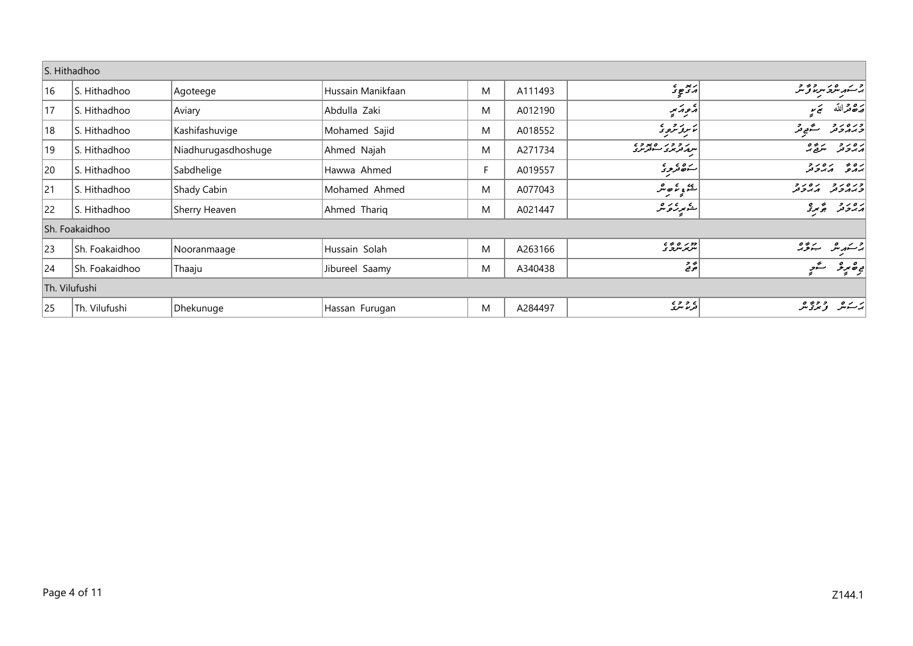|    | S. Hithadhoo   |                     |                   |   |         |                                     |                                                                       |
|----|----------------|---------------------|-------------------|---|---------|-------------------------------------|-----------------------------------------------------------------------|
| 16 | S. Hithadhoo   | Agoteege            | Hussain Manikfaan | M | A111493 | پرسم پر                             | 2 كەر بىرى بىر 2 ° ج                                                  |
| 17 | S. Hithadhoo   | Aviary              | Abdulla Zaki      | M | A012190 | لجمورتمبر                           | پر ۱۵ قرالله<br>$\check{\epsilon}$                                    |
| 18 | S. Hithadhoo   | Kashifashuvige      | Mohamed Sajid     | M | A018552 | ر سر توگر د می                      | <i>د بر ه ب</i> ر و<br>  <del>د</del> بر پر <del>د</del> ر<br>ستگھ فر |
| 19 | l S. Hithadhoo | Niadhurugasdhoshuge | Ahmed Najah       | M | A271734 | ر و و ر ه پر و پ<br>سمدنویوی سونوری | پر ۱۵ ر و<br>ىر ئە 2                                                  |
| 20 | S. Hithadhoo   | Sabdhelige          | Hawwa Ahmed       | F | A019557 | رە ئەر ئ                            | ره ده رور د<br> پهرې مرکز                                             |
| 21 | S. Hithadhoo   | Shady Cabin         | Mohamed Ahmed     | M | A077043 | يئے پر عاصر<br>- 5                  | و رە ر د<br><i>و پە</i> گەر<br>2001<br>مدبروتر                        |
| 22 | S. Hithadhoo   | Sherry Heaven       | Ahmed Thariq      | M | A021447 | ڪ پر <i>گرو</i> مگر                 | چچ سرچ<br>  پر ۱۵ ر و<br>  <i>پر پ</i> ر <del>د</del> ر               |
|    | Sh. Foakaidhoo |                     |                   |   |         |                                     |                                                                       |
| 23 | Sh. Foakaidhoo | Nooranmaage         | Hussain Solah     | M | A263166 | دور ه د »<br>سرپرسرچ ی              | ىبە ئۇر<br>جرىسە مەشر                                                 |
| 24 | Sh. Foakaidhoo | Thaaju              | Jibureel Saamy    | M | A340438 | پر و<br>حو                          | م <sub>و</sub> ھ مرمحہ<br>سنوح                                        |
|    | Th. Vilufushi  |                     |                   |   |         |                                     |                                                                       |
| 25 | Th. Vilufushi  | Dhekunuge           | Hassan Furugan    | M | A284497 | ی و و ،<br>تور سری                  | پرسە ئىر ئۇ ئوتقىر                                                    |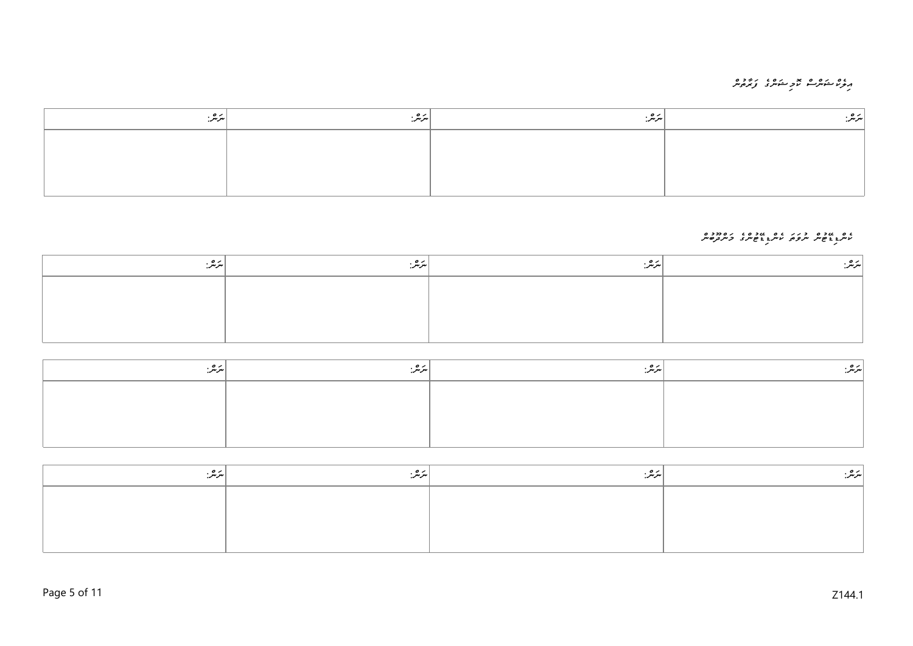## *w7qAn8m?sCw7mRo>u;wEw7mRw;sBo<*

| ايئرمين | $\overline{\phantom{a}}$ | ىر تە |
|---------|--------------------------|-------|
|         |                          |       |
|         |                          |       |
|         |                          |       |

## *w7q9r@w7m>sCw7qHtFoFw7s;mAm=q7w7qHtFoFw7s;*

| بر ه | ىر مىر |  |
|------|--------|--|
|      |        |  |
|      |        |  |
|      |        |  |

| $\frac{2}{n}$ | $\overline{\phantom{a}}$ | اير هنه. | $\mathcal{O} \times$<br>سرسر |
|---------------|--------------------------|----------|------------------------------|
|               |                          |          |                              |
|               |                          |          |                              |
|               |                          |          |                              |

| ' ئىرتىر: | سر سر |  |
|-----------|-------|--|
|           |       |  |
|           |       |  |
|           |       |  |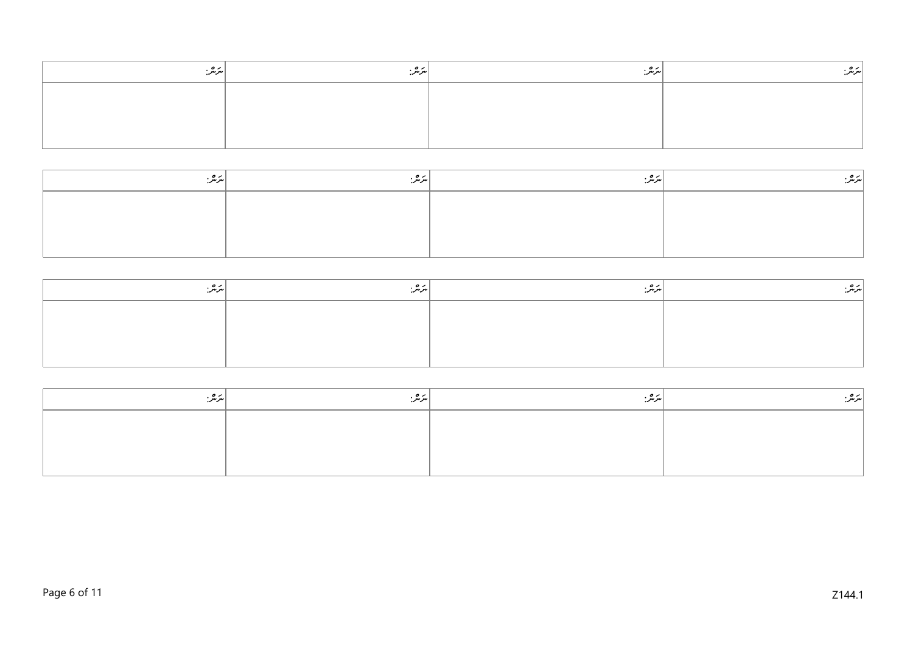| يزهر | $^{\circ}$ | ىئرىتر: |  |
|------|------------|---------|--|
|      |            |         |  |
|      |            |         |  |
|      |            |         |  |

| <sup>.</sup> سرسر. |  |
|--------------------|--|
|                    |  |
|                    |  |
|                    |  |

| ىئرىتر. | $\sim$ | ا بر هه. | لىرىش |
|---------|--------|----------|-------|
|         |        |          |       |
|         |        |          |       |
|         |        |          |       |

| $\overline{\phantom{a}}$<br>سرس | ر ه<br>,,, | . . | 。<br>سرس. |
|---------------------------------|------------|-----|-----------|
|                                 |            |     |           |
|                                 |            |     |           |
|                                 |            |     |           |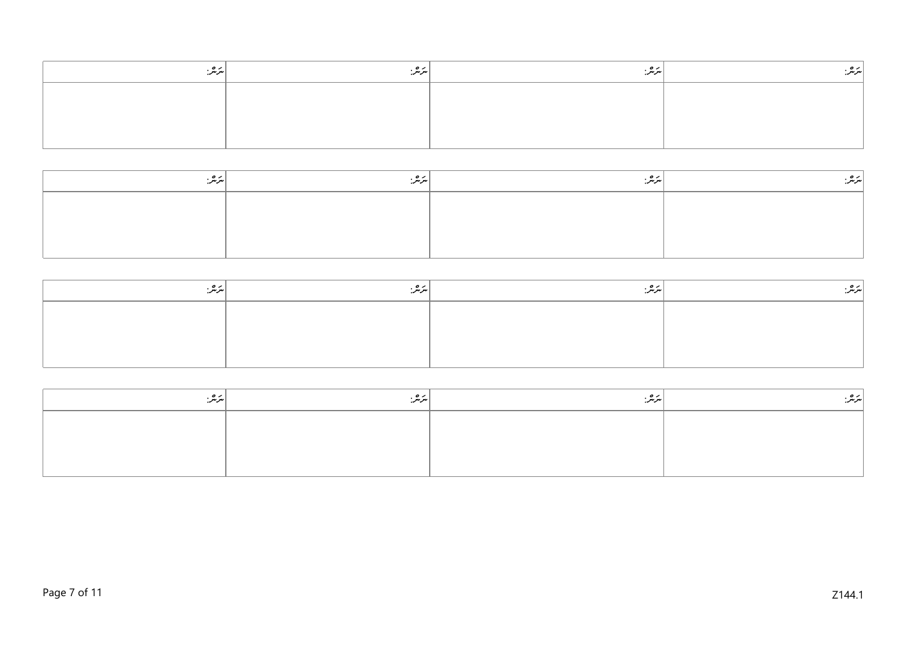| ير هو . | $\overline{\phantom{a}}$ | يرمر | اير هنه. |
|---------|--------------------------|------|----------|
|         |                          |      |          |
|         |                          |      |          |
|         |                          |      |          |

| ىبرىر. | $\sim$<br>ا سرسر . | يئرمثر | o . |
|--------|--------------------|--------|-----|
|        |                    |        |     |
|        |                    |        |     |
|        |                    |        |     |

| 'تترنثر: | . .<br>يسمونس. |  |
|----------|----------------|--|
|          |                |  |
|          |                |  |
|          |                |  |

|  | . ه |
|--|-----|
|  |     |
|  |     |
|  |     |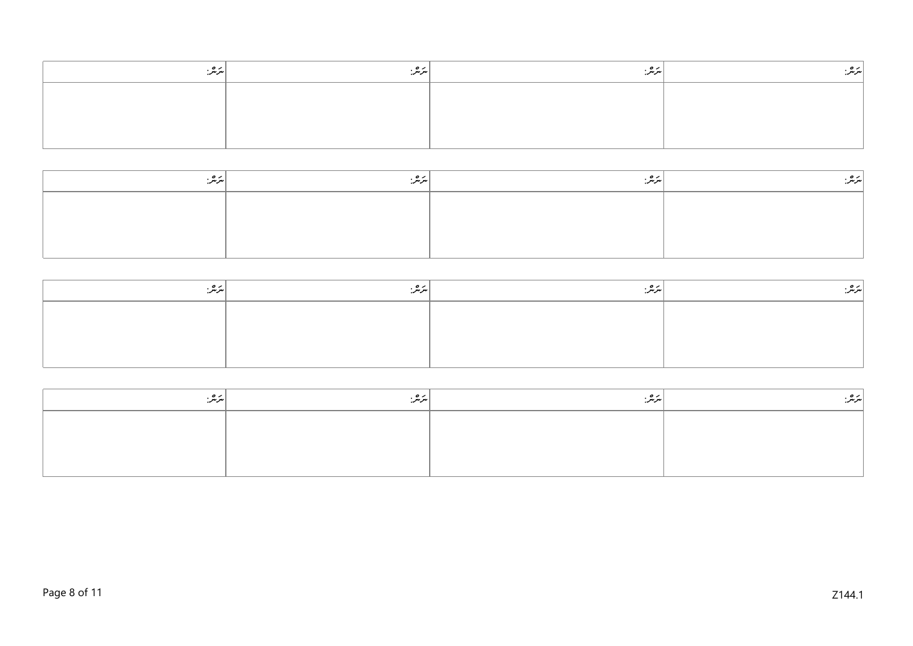| ير هو . | $\overline{\phantom{a}}$ | يرمر | اير هنه. |
|---------|--------------------------|------|----------|
|         |                          |      |          |
|         |                          |      |          |
|         |                          |      |          |

| ىبرىر. | $\sim$<br>ا سرسر . | يئرمثر | o . |
|--------|--------------------|--------|-----|
|        |                    |        |     |
|        |                    |        |     |
|        |                    |        |     |

| 'تترنثر: | . .<br>يسمونس. |  |
|----------|----------------|--|
|          |                |  |
|          |                |  |
|          |                |  |

|  | . ه |
|--|-----|
|  |     |
|  |     |
|  |     |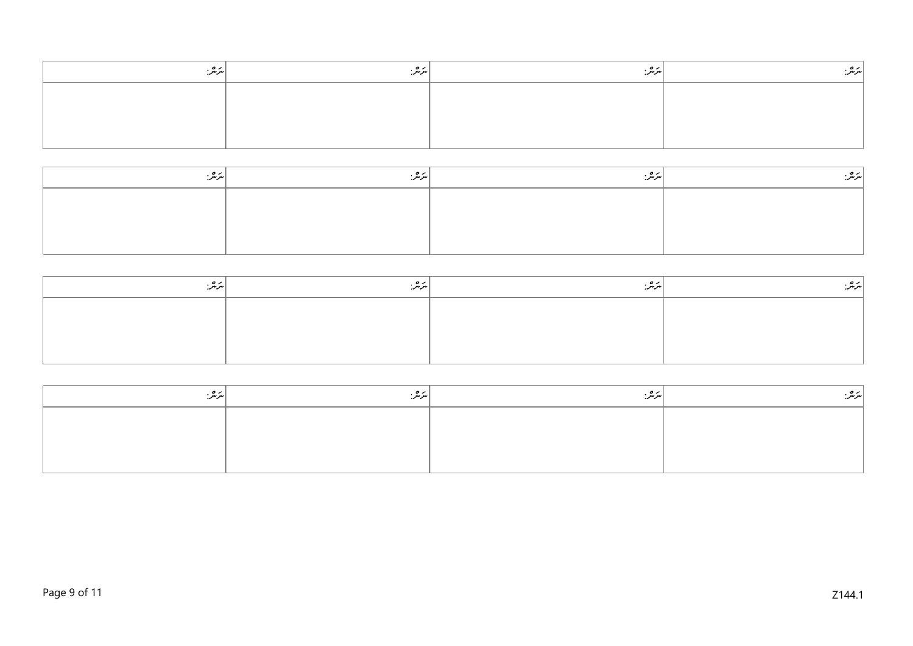| $\cdot$ | 。 | $\frac{\circ}{\cdot}$ | $\sim$<br>سرسر |
|---------|---|-----------------------|----------------|
|         |   |                       |                |
|         |   |                       |                |
|         |   |                       |                |

| ايرعر: | ر ه<br>. . |  |
|--------|------------|--|
|        |            |  |
|        |            |  |
|        |            |  |

| بر ه | 。 | $\sim$<br>َ سومس. |  |
|------|---|-------------------|--|
|      |   |                   |  |
|      |   |                   |  |
|      |   |                   |  |

| 。<br>. س | ىرىىر |  |
|----------|-------|--|
|          |       |  |
|          |       |  |
|          |       |  |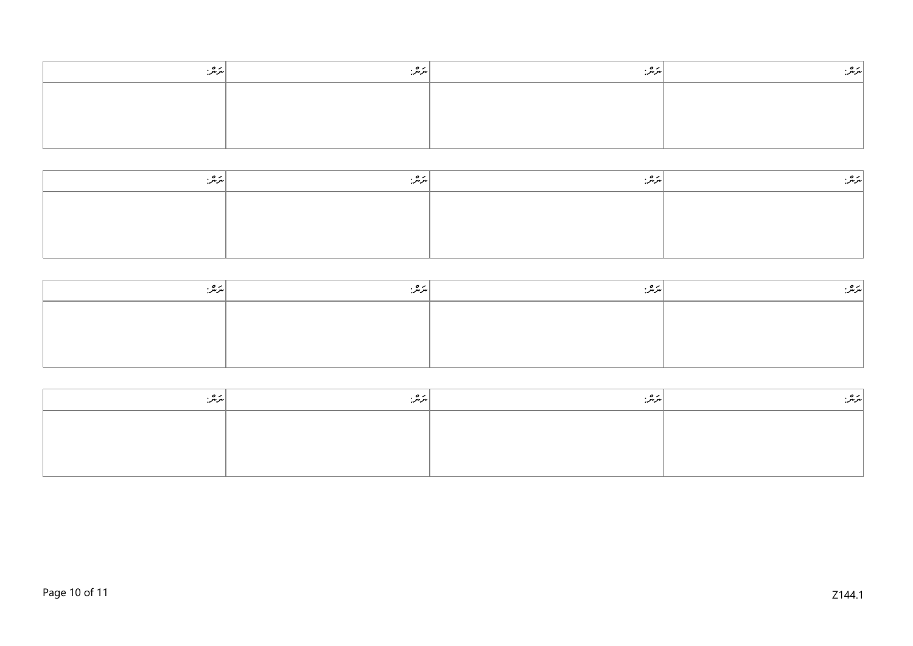| ير هو . | $\overline{\phantom{a}}$ | يرمر | اير هنه. |
|---------|--------------------------|------|----------|
|         |                          |      |          |
|         |                          |      |          |
|         |                          |      |          |

| ىبرىر. | $\sim$<br>ا سرسر . | يئرمثر | o . |
|--------|--------------------|--------|-----|
|        |                    |        |     |
|        |                    |        |     |
|        |                    |        |     |

| انترنثر: | ر ه |  |
|----------|-----|--|
|          |     |  |
|          |     |  |
|          |     |  |

|  | . ه |
|--|-----|
|  |     |
|  |     |
|  |     |